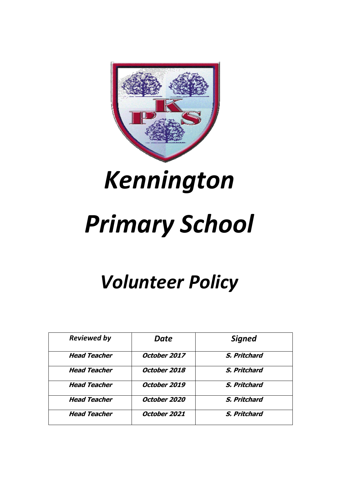

# *Kennington*

# *Primary School*

# *Volunteer Policy*

| <b>Reviewed by</b>  | Date         | <b>Signed</b> |
|---------------------|--------------|---------------|
| <b>Head Teacher</b> | October 2017 | S. Pritchard  |
| <b>Head Teacher</b> | October 2018 | S. Pritchard  |
| <b>Head Teacher</b> | October 2019 | S. Pritchard  |
| <b>Head Teacher</b> | October 2020 | S. Pritchard  |
| <b>Head Teacher</b> | October 2021 | S. Pritchard  |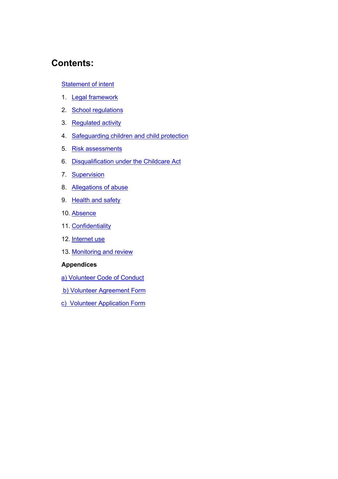## **Contents:**

#### Statement of intent

- 1. Legal framework
- 2. School regulations
- 3. Regulated activity
- 4. Safeguarding children and child protection
- 5. Risk assessments
- 6. Disqualification under the Childcare Act
- 7. Supervision
- 8. Allegations of abuse
- 9. Health and safety
- 10. Absence
- 11. Confidentiality
- 12. Internet use
- 13. Monitoring and review

#### **Appendices**

- a) Volunteer Code of Conduct
- b) Volunteer Agreement Form
- c) Volunteer Application Form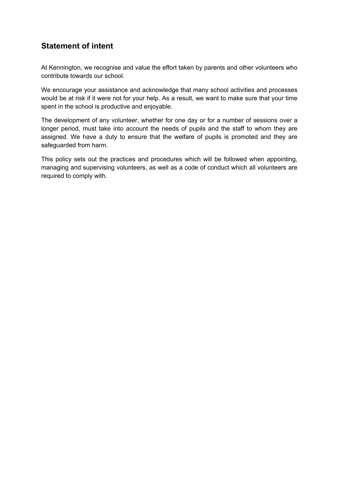### **Statement of intent**

At Kennington, we recognise and value the effort taken by parents and other volunteers who contribute towards our school.

We encourage your assistance and acknowledge that many school activities and processes would be at risk if it were not for your help. As a result, we want to make sure that your time spent in the school is productive and enjoyable.

The development of any volunteer, whether for one day or for a number of sessions over a longer period, must take into account the needs of pupils and the staff to whom they are assigned. We have a duty to ensure that the welfare of pupils is promoted and they are safeguarded from harm.

This policy sets out the practices and procedures which will be followed when appointing, managing and supervising volunteers, as well as a code of conduct which all volunteers are required to comply with.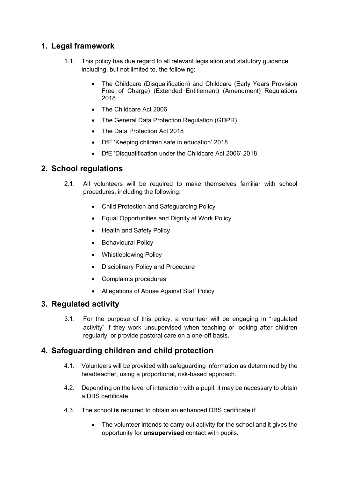### **1. Legal framework**

- 1.1. This policy has due regard to all relevant legislation and statutory guidance including, but not limited to, the following:
	- The Childcare (Disqualification) and Childcare (Early Years Provision Free of Charge) (Extended Entitlement) (Amendment) Regulations 2018
	- The Childcare Act 2006
	- The General Data Protection Regulation (GDPR)
	- The Data Protection Act 2018
	- DfE 'Keeping children safe in education' 2018
	- DfE 'Disqualification under the Childcare Act 2006' 2018

#### **2. School regulations**

- 2.1. All volunteers will be required to make themselves familiar with school procedures, including the following:
	- Child Protection and Safeguarding Policy
	- Equal Opportunities and Dignity at Work Policy
	- Health and Safety Policy
	- Behavioural Policy
	- Whistleblowing Policy
	- Disciplinary Policy and Procedure
	- Complaints procedures
	- Allegations of Abuse Against Staff Policy

#### **3. Regulated activity**

3.1. For the purpose of this policy, a volunteer will be engaging in "regulated activity" if they work unsupervised when teaching or looking after children regularly, or provide pastoral care on a one-off basis.

#### **4. Safeguarding children and child protection**

- 4.1. Volunteers will be provided with safeguarding information as determined by the headteacher, using a proportional, risk-based approach.
- 4.2. Depending on the level of interaction with a pupil, it may be necessary to obtain a DBS certificate.
- 4.3. The school **is** required to obtain an enhanced DBS certificate if:
	- The volunteer intends to carry out activity for the school and it gives the opportunity for **unsupervised** contact with pupils.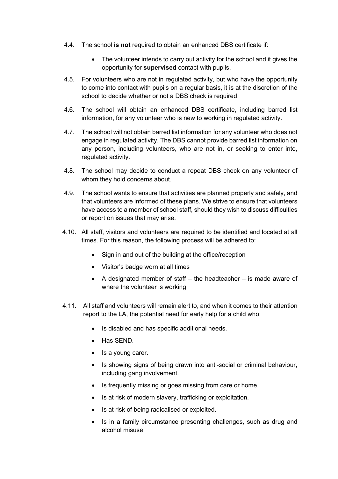- 4.4. The school **is not** required to obtain an enhanced DBS certificate if:
	- The volunteer intends to carry out activity for the school and it gives the opportunity for **supervised** contact with pupils.
- 4.5. For volunteers who are not in regulated activity, but who have the opportunity to come into contact with pupils on a regular basis, it is at the discretion of the school to decide whether or not a DBS check is required.
- 4.6. The school will obtain an enhanced DBS certificate, including barred list information, for any volunteer who is new to working in regulated activity.
- 4.7. The school will not obtain barred list information for any volunteer who does not engage in regulated activity. The DBS cannot provide barred list information on any person, including volunteers, who are not in, or seeking to enter into, regulated activity.
- 4.8. The school may decide to conduct a repeat DBS check on any volunteer of whom they hold concerns about.
- 4.9. The school wants to ensure that activities are planned properly and safely, and that volunteers are informed of these plans. We strive to ensure that volunteers have access to a member of school staff, should they wish to discuss difficulties or report on issues that may arise.
- 4.10. All staff, visitors and volunteers are required to be identified and located at all times. For this reason, the following process will be adhered to:
	- Sign in and out of the building at the office/reception
	- Visitor's badge worn at all times
	- A designated member of staff the headteacher is made aware of where the volunteer is working
- 4.11. All staff and volunteers will remain alert to, and when it comes to their attention report to the LA, the potential need for early help for a child who:
	- Is disabled and has specific additional needs.
	- Has SEND.
	- Is a voung carer.
	- Is showing signs of being drawn into anti-social or criminal behaviour, including gang involvement.
	- Is frequently missing or goes missing from care or home.
	- Is at risk of modern slavery, trafficking or exploitation.
	- Is at risk of being radicalised or exploited.
	- Is in a family circumstance presenting challenges, such as drug and alcohol misuse.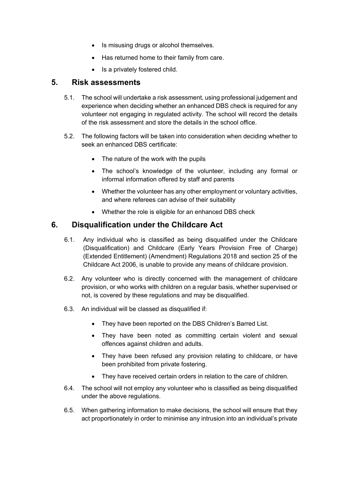- Is misusing drugs or alcohol themselves.
- Has returned home to their family from care.
- Is a privately fostered child.

#### **5. Risk assessments**

- 5.1. The school will undertake a risk assessment, using professional judgement and experience when deciding whether an enhanced DBS check is required for any volunteer not engaging in regulated activity. The school will record the details of the risk assessment and store the details in the school office.
- 5.2. The following factors will be taken into consideration when deciding whether to seek an enhanced DBS certificate:
	- The nature of the work with the pupils
	- The school's knowledge of the volunteer, including any formal or informal information offered by staff and parents
	- Whether the volunteer has any other employment or voluntary activities, and where referees can advise of their suitability
	- Whether the role is eligible for an enhanced DBS check

#### **6. Disqualification under the Childcare Act**

- 6.1. Any individual who is classified as being disqualified under the Childcare (Disqualification) and Childcare (Early Years Provision Free of Charge) (Extended Entitlement) (Amendment) Regulations 2018 and section 25 of the Childcare Act 2006, is unable to provide any means of childcare provision.
- 6.2. Any volunteer who is directly concerned with the management of childcare provision, or who works with children on a regular basis, whether supervised or not, is covered by these regulations and may be disqualified.
- 6.3. An individual will be classed as disqualified if:
	- They have been reported on the DBS Children's Barred List.
	- They have been noted as committing certain violent and sexual offences against children and adults.
	- They have been refused any provision relating to childcare, or have been prohibited from private fostering.
	- They have received certain orders in relation to the care of children.
- 6.4. The school will not employ any volunteer who is classified as being disqualified under the above regulations.
- 6.5. When gathering information to make decisions, the school will ensure that they act proportionately in order to minimise any intrusion into an individual's private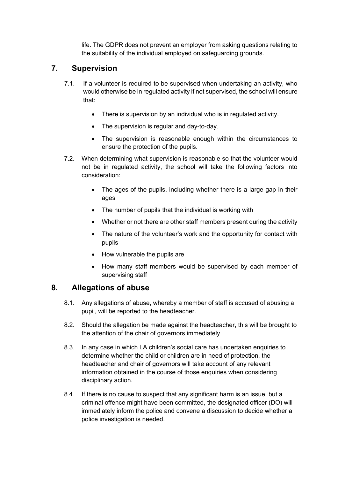life. The GDPR does not prevent an employer from asking questions relating to the suitability of the individual employed on safeguarding grounds.

### **7. Supervision**

- 7.1. If a volunteer is required to be supervised when undertaking an activity, who would otherwise be in regulated activity if not supervised, the school will ensure that:
	- There is supervision by an individual who is in regulated activity.
	- The supervision is regular and day-to-day.
	- The supervision is reasonable enough within the circumstances to ensure the protection of the pupils.
- 7.2. When determining what supervision is reasonable so that the volunteer would not be in regulated activity, the school will take the following factors into consideration:
	- The ages of the pupils, including whether there is a large gap in their ages
	- The number of pupils that the individual is working with
	- Whether or not there are other staff members present during the activity
	- The nature of the volunteer's work and the opportunity for contact with pupils
	- How vulnerable the pupils are
	- How many staff members would be supervised by each member of supervising staff

#### **8. Allegations of abuse**

- 8.1. Any allegations of abuse, whereby a member of staff is accused of abusing a pupil, will be reported to the headteacher.
- 8.2. Should the allegation be made against the headteacher, this will be brought to the attention of the chair of governors immediately.
- 8.3. In any case in which LA children's social care has undertaken enquiries to determine whether the child or children are in need of protection, the headteacher and chair of governors will take account of any relevant information obtained in the course of those enquiries when considering disciplinary action.
- 8.4. If there is no cause to suspect that any significant harm is an issue, but a criminal offence might have been committed, the designated officer (DO) will immediately inform the police and convene a discussion to decide whether a police investigation is needed.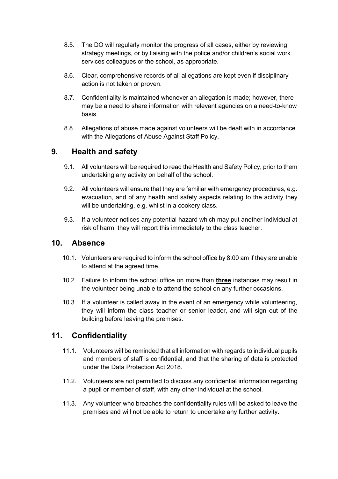- 8.5. The DO will regularly monitor the progress of all cases, either by reviewing strategy meetings, or by liaising with the police and/or children's social work services colleagues or the school, as appropriate.
- 8.6. Clear, comprehensive records of all allegations are kept even if disciplinary action is not taken or proven.
- 8.7. Confidentiality is maintained whenever an allegation is made; however, there may be a need to share information with relevant agencies on a need-to-know basis.
- 8.8. Allegations of abuse made against volunteers will be dealt with in accordance with the Allegations of Abuse Against Staff Policy.

#### **9. Health and safety**

- 9.1. All volunteers will be required to read the Health and Safety Policy, prior to them undertaking any activity on behalf of the school.
- 9.2. All volunteers will ensure that they are familiar with emergency procedures, e.g. evacuation, and of any health and safety aspects relating to the activity they will be undertaking, e.g. whilst in a cookery class.
- 9.3. If a volunteer notices any potential hazard which may put another individual at risk of harm, they will report this immediately to the class teacher.

#### **10. Absence**

- 10.1. Volunteers are required to inform the school office by 8:00 am if they are unable to attend at the agreed time.
- 10.2. Failure to inform the school office on more than **three** instances may result in the volunteer being unable to attend the school on any further occasions.
- 10.3. If a volunteer is called away in the event of an emergency while volunteering, they will inform the class teacher or senior leader, and will sign out of the building before leaving the premises.

#### **11. Confidentiality**

- 11.1. Volunteers will be reminded that all information with regards to individual pupils and members of staff is confidential, and that the sharing of data is protected under the Data Protection Act 2018.
- 11.2. Volunteers are not permitted to discuss any confidential information regarding a pupil or member of staff, with any other individual at the school.
- 11.3. Any volunteer who breaches the confidentiality rules will be asked to leave the premises and will not be able to return to undertake any further activity.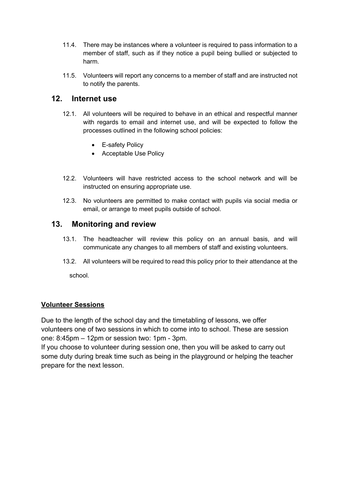- 11.4. There may be instances where a volunteer is required to pass information to a member of staff, such as if they notice a pupil being bullied or subjected to harm.
- 11.5. Volunteers will report any concerns to a member of staff and are instructed not to notify the parents.

#### **12. Internet use**

- 12.1. All volunteers will be required to behave in an ethical and respectful manner with regards to email and internet use, and will be expected to follow the processes outlined in the following school policies:
	- E-safety Policy
	- Acceptable Use Policy
- 12.2. Volunteers will have restricted access to the school network and will be instructed on ensuring appropriate use.
- 12.3. No volunteers are permitted to make contact with pupils via social media or email, or arrange to meet pupils outside of school.

#### **13. Monitoring and review**

- 13.1. The headteacher will review this policy on an annual basis, and will communicate any changes to all members of staff and existing volunteers.
- 13.2. All volunteers will be required to read this policy prior to their attendance at the

school.

#### **Volunteer Sessions**

Due to the length of the school day and the timetabling of lessons, we offer volunteers one of two sessions in which to come into to school. These are session one: 8:45pm – 12pm or session two: 1pm - 3pm.

If you choose to volunteer during session one, then you will be asked to carry out some duty during break time such as being in the playground or helping the teacher prepare for the next lesson.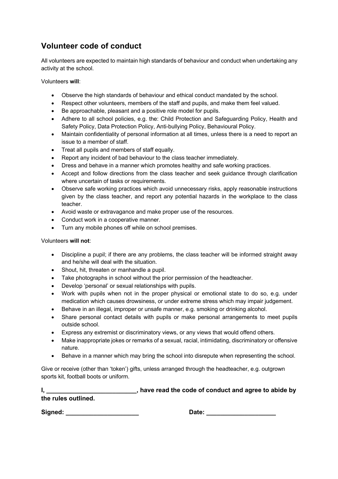### **Volunteer code of conduct**

All volunteers are expected to maintain high standards of behaviour and conduct when undertaking any activity at the school.

Volunteers **will**:

- Observe the high standards of behaviour and ethical conduct mandated by the school.
- Respect other volunteers, members of the staff and pupils, and make them feel valued.
- Be approachable, pleasant and a positive role model for pupils.
- Adhere to all school policies, e.g. the: Child Protection and Safeguarding Policy, Health and Safety Policy, Data Protection Policy, Anti-bullying Policy, Behavioural Policy.
- Maintain confidentiality of personal information at all times, unless there is a need to report an issue to a member of staff.
- Treat all pupils and members of staff equally.
- Report any incident of bad behaviour to the class teacher immediately.
- Dress and behave in a manner which promotes healthy and safe working practices.
- Accept and follow directions from the class teacher and seek guidance through clarification where uncertain of tasks or requirements.
- Observe safe working practices which avoid unnecessary risks, apply reasonable instructions given by the class teacher, and report any potential hazards in the workplace to the class teacher.
- Avoid waste or extravagance and make proper use of the resources.
- Conduct work in a cooperative manner.
- Turn any mobile phones off while on school premises.

#### Volunteers **will not**:

- Discipline a pupil; if there are any problems, the class teacher will be informed straight away and he/she will deal with the situation.
- Shout, hit, threaten or manhandle a pupil.
- Take photographs in school without the prior permission of the headteacher.
- Develop 'personal' or sexual relationships with pupils.
- Work with pupils when not in the proper physical or emotional state to do so, e.g. under medication which causes drowsiness, or under extreme stress which may impair judgement.
- Behave in an illegal, improper or unsafe manner, e.g. smoking or drinking alcohol.
- Share personal contact details with pupils or make personal arrangements to meet pupils outside school.
- Express any extremist or discriminatory views, or any views that would offend others.
- Make inappropriate jokes or remarks of a sexual, racial, intimidating, discriminatory or offensive nature.
- Behave in a manner which may bring the school into disrepute when representing the school.

Give or receive (other than 'token') gifts, unless arranged through the headteacher, e.g. outgrown sports kit, football boots or uniform.

|                     | have read the code of conduct and agree to abide by |
|---------------------|-----------------------------------------------------|
| the rules outlined. |                                                     |

**Signed: \_\_\_\_\_\_\_\_\_\_\_\_\_\_\_\_\_\_\_\_\_ Date: \_\_\_\_\_\_\_\_\_\_\_\_\_\_\_\_\_\_\_\_**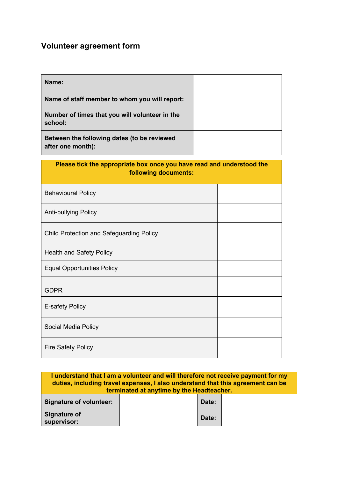# **Volunteer agreement form**

Social Media Policy

Fire Safety Policy

| Name:                                                                                         |  |  |  |  |
|-----------------------------------------------------------------------------------------------|--|--|--|--|
| Name of staff member to whom you will report:                                                 |  |  |  |  |
| Number of times that you will volunteer in the<br>school:                                     |  |  |  |  |
| Between the following dates (to be reviewed<br>after one month):                              |  |  |  |  |
| Please tick the appropriate box once you have read and understood the<br>following documents: |  |  |  |  |
| <b>Behavioural Policy</b>                                                                     |  |  |  |  |
| <b>Anti-bullying Policy</b>                                                                   |  |  |  |  |
| <b>Child Protection and Safeguarding Policy</b>                                               |  |  |  |  |
| <b>Health and Safety Policy</b>                                                               |  |  |  |  |
| <b>Equal Opportunities Policy</b>                                                             |  |  |  |  |
| <b>GDPR</b>                                                                                   |  |  |  |  |
| E-safety Policy                                                                               |  |  |  |  |

| I understand that I am a volunteer and will therefore not receive payment for my<br>duties, including travel expenses, I also understand that this agreement can be<br>terminated at anytime by the Headteacher. |  |       |  |
|------------------------------------------------------------------------------------------------------------------------------------------------------------------------------------------------------------------|--|-------|--|
| <b>Signature of volunteer:</b>                                                                                                                                                                                   |  | Date: |  |
| <b>Signature of</b><br>supervisor:                                                                                                                                                                               |  | Date: |  |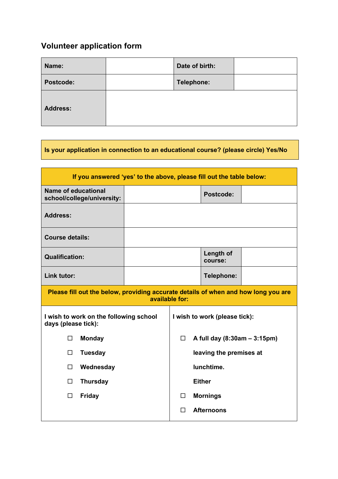# **Volunteer application form**

| Name:           | Date of birth: |  |
|-----------------|----------------|--|
| Postcode:       | Telephone:     |  |
| <b>Address:</b> |                |  |

**Is your application in connection to an educational course? (please circle) Yes/No**

| If you answered 'yes' to the above, please fill out the table below:                                 |                            |                                        |                         |  |                             |  |
|------------------------------------------------------------------------------------------------------|----------------------------|----------------------------------------|-------------------------|--|-----------------------------|--|
| Name of educational                                                                                  | school/college/university: |                                        |                         |  | Postcode:                   |  |
| <b>Address:</b>                                                                                      |                            |                                        |                         |  |                             |  |
| <b>Course details:</b>                                                                               |                            |                                        |                         |  |                             |  |
| <b>Qualification:</b>                                                                                |                            |                                        |                         |  | <b>Length of</b><br>course: |  |
| Link tutor:                                                                                          |                            |                                        |                         |  | Telephone:                  |  |
| Please fill out the below, providing accurate details of when and how long you are<br>available for: |                            |                                        |                         |  |                             |  |
| I wish to work on the following school<br>I wish to work (please tick):<br>days (please tick):       |                            |                                        |                         |  |                             |  |
| $\Box$                                                                                               | <b>Monday</b>              | A full day (8:30am - 3:15pm)<br>$\Box$ |                         |  |                             |  |
| □                                                                                                    | <b>Tuesday</b>             |                                        | leaving the premises at |  |                             |  |
| $\Box$                                                                                               | Wednesday                  | lunchtime.                             |                         |  |                             |  |
| □                                                                                                    | <b>Thursday</b>            | <b>Either</b>                          |                         |  |                             |  |
| $\Box$                                                                                               | <b>Friday</b>              |                                        | <b>Mornings</b><br>□    |  |                             |  |
|                                                                                                      |                            |                                        | П                       |  | <b>Afternoons</b>           |  |